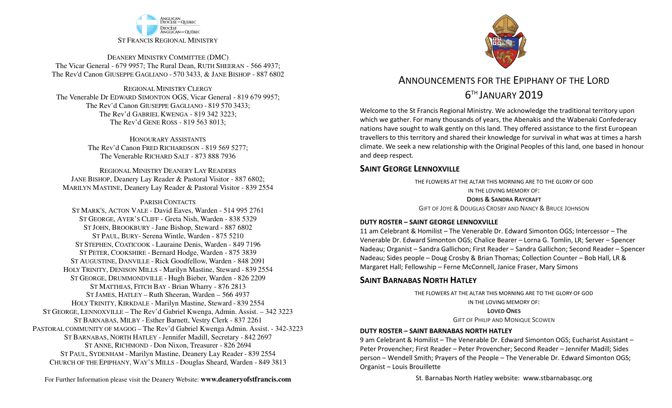

DEANERY MINISTRY COMMITTEE (DMC) The Vicar General - 679 9957; The Rural Dean, RUTH SHEERAN - 566 4937; The Rev'd Canon GIUSEPPE GAGLIANO - <sup>570</sup> 3433, & JANE BISHOP - 887 6802

REGIONAL MINISTRY CLERGY The Venerable Dr EDWARD SIMONTON OGS, Vicar General - 819 679 9957;The Rev'd Canon GIUSEPPE GAGLIANO - <sup>819</sup> <sup>570</sup> 3433; The Rev'd GABRIEL KWENGA - 819 342 3223;The Rev'd GENE ROSS - 819 563 8013;

> HONOURARY ASSISTANTS The Rev'd Canon FRED RICHARDSON - 819 569 5277;The Venerable RICHARD SALT - 873 888 7936

REGIONAL MINISTRY DEANERY LAY READERS JANE BISHOP, Deanery Lay Reader & Pastoral Visitor - 887 6802;MARILYN MASTINE, Deanery Lay Reader & Pastoral Visitor - 839 2554

#### PARISH CONTACTS

 ST MARK'S, ACTON VALE - David Eaves, Warden - 514 995 2761 ST GEORGE, AYER'S CLIFF - Greta Nish, Warden - 838 5329 ST JOHN, BROOKBURY -Jane Bishop, Steward - 887 6802 ST PAUL, BURY- Serena Wintle, Warden - 875 5210 ST STEPHEN, COATICOOK - Lauraine Denis, Warden - 849 7196 ST PETER, COOKSHIRE - Bernard Hodge, Warden - 875 3839 ST AUGUSTINE, DANVILLE - Rick Goodfellow, Warden - 848 2091 HOLY TRINITY, DENISON MILLS - Marilyn Mastine, Steward - <sup>839</sup> <sup>2554</sup> ST GEORGE, DRUMMONDVILLE - Hugh Bieber, Warden - 826 2209 ST MATTHIAS, FITCH BAY - Brian Wharry - 876 2813 ST JAMES, HATLEY – Ruth Sheeran, Warden – 566 4937 HOLY TRINITY, KIRKDALE - Marilyn Mastine, Steward - <sup>839</sup> <sup>2554</sup> ST GEORGE, LENNOXVILLE – The Rev'd Gabriel Kwenga, Admin. Assist. – 342 3223 ST BARNABAS, MILBY - Esther Barnett, Vestry Clerk - 837 2261 PASTORAL COMMUNITY OF MAGOG – The Rev'd Gabriel Kwenga Admin. Assist. - 342-3223 ST BARNABAS, NORTH HATLEY -Jennifer Madill, Secretary - <sup>842</sup> <sup>2697</sup> ST ANNE, RICHMOND - Don Nixon, Treasurer - 826 <sup>2694</sup> ST PAUL, SYDENHAM - Marilyn Mastine, Deanery Lay Reader - <sup>839</sup> <sup>2554</sup> CHURCH OF THE EPIPHANY, WAY'S MILLS - Douglas Sheard, Warden - 849 3813



# ANNOUNCEMENTS FOR THE EPIPHANY OF THE LORD6TH JANUARY 2019

Welcome to the St Francis Regional Ministry. We acknowledge the traditional territory upon which we gather. For many thousands of years, the Abenakis and the Wabenaki Confederacy nations have sought to walk gently on this land. They offered assistance to the first European travellers to this territory and shared their knowledge for survival in what was at times a harsh climate. We seek a new relationship with the Original Peoples of this land, one based in honour and deep respect.

### **SAINT GEORGE LENNOXVILLE**

THE FLOWERS AT THE ALTAR THIS MORNING ARE TO THE GLORY OF GODIN THE LOVING MEMORY OF:**DORIS & <sup>S</sup>ANDRA RAYCRAFT** GIFT OF JOYE & <sup>D</sup>OUGLAS CROSBY AND NANCY & <sup>B</sup>RUCE JOHNSON

### **DUTY ROSTER – SAINT GEORGE LENNOXVILLE**

11 am Celebrant & Homilist – The Venerable Dr. Edward Simonton OGS; Intercessor – The Venerable Dr. Edward Simonton OGS; Chalice Bearer – Lorna G. Tomlin, LR; Server – Spencer Nadeau; Organist – Sandra Gallichon; First Reader – Sandra Gallichon; Second Reader – Spencer Nadeau; Sides people – Doug Crosby & Brian Thomas; Collection Counter – Bob Hall, LR & Margaret Hall; Fellowship – Ferne McConnell, Janice Fraser, Mary Simons

## **SAINT BARNABAS NORTH HATLEY**

THE FLOWERS AT THE ALTAR THIS MORNING ARE TO THE GLORY OF GODIN THE LOVING MEMORY OF:**LOVED ONESGIFT OF PHILIP AND MONIQUE SCOWEN** 

### **DUTY ROSTER – SAINT BARNABAS NORTH HATLEY**

9 am Celebrant & Homilist – The Venerable Dr. Edward Simonton OGS; Eucharist Assistant – Peter Provencher; First Reader – Peter Provencher; Second Reader – Jennifer Madill; Sides person – Wendell Smith; Prayers of the People – The Venerable Dr. Edward Simonton OGS; Organist – Louis Brouillette

St. Barnabas North Hatley website: www.stbarnabasqc.org